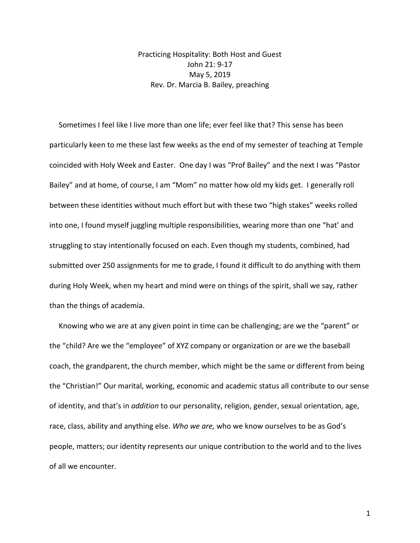Practicing Hospitality: Both Host and Guest John 21: 9-17 May 5, 2019 Rev. Dr. Marcia B. Bailey, preaching

 Sometimes I feel like I live more than one life; ever feel like that? This sense has been particularly keen to me these last few weeks as the end of my semester of teaching at Temple coincided with Holy Week and Easter. One day I was "Prof Bailey" and the next I was "Pastor Bailey" and at home, of course, I am "Mom" no matter how old my kids get. I generally roll between these identities without much effort but with these two "high stakes" weeks rolled into one, I found myself juggling multiple responsibilities, wearing more than one "hat' and struggling to stay intentionally focused on each. Even though my students, combined, had submitted over 250 assignments for me to grade, I found it difficult to do anything with them during Holy Week, when my heart and mind were on things of the spirit, shall we say, rather than the things of academia.

 Knowing who we are at any given point in time can be challenging; are we the "parent" or the "child? Are we the "employee" of XYZ company or organization or are we the baseball coach, the grandparent, the church member, which might be the same or different from being the "Christian!" Our marital, working, economic and academic status all contribute to our sense of identity, and that's in *addition* to our personality, religion, gender, sexual orientation, age, race, class, ability and anything else. *Who we are,* who we know ourselves to be as God's people, matters; our identity represents our unique contribution to the world and to the lives of all we encounter.

1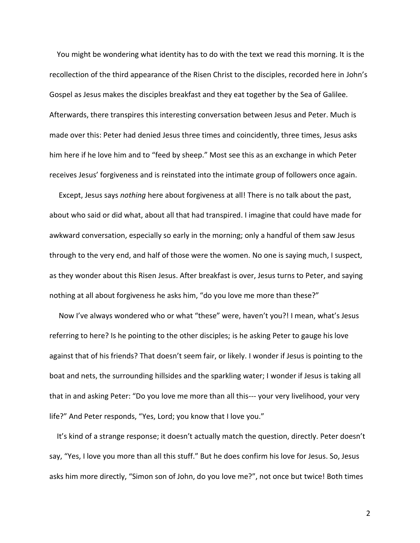You might be wondering what identity has to do with the text we read this morning. It is the recollection of the third appearance of the Risen Christ to the disciples, recorded here in John's Gospel as Jesus makes the disciples breakfast and they eat together by the Sea of Galilee. Afterwards, there transpires this interesting conversation between Jesus and Peter. Much is made over this: Peter had denied Jesus three times and coincidently, three times, Jesus asks him here if he love him and to "feed by sheep." Most see this as an exchange in which Peter receives Jesus' forgiveness and is reinstated into the intimate group of followers once again.

 Except, Jesus says *nothing* here about forgiveness at all! There is no talk about the past, about who said or did what, about all that had transpired. I imagine that could have made for awkward conversation, especially so early in the morning; only a handful of them saw Jesus through to the very end, and half of those were the women. No one is saying much, I suspect, as they wonder about this Risen Jesus. After breakfast is over, Jesus turns to Peter, and saying nothing at all about forgiveness he asks him, "do you love me more than these?"

 Now I've always wondered who or what "these" were, haven't you?! I mean, what's Jesus referring to here? Is he pointing to the other disciples; is he asking Peter to gauge his love against that of his friends? That doesn't seem fair, or likely. I wonder if Jesus is pointing to the boat and nets, the surrounding hillsides and the sparkling water; I wonder if Jesus is taking all that in and asking Peter: "Do you love me more than all this--- your very livelihood, your very life?" And Peter responds, "Yes, Lord; you know that I love you."

 It's kind of a strange response; it doesn't actually match the question, directly. Peter doesn't say, "Yes, I love you more than all this stuff." But he does confirm his love for Jesus. So, Jesus asks him more directly, "Simon son of John, do you love me?", not once but twice! Both times

2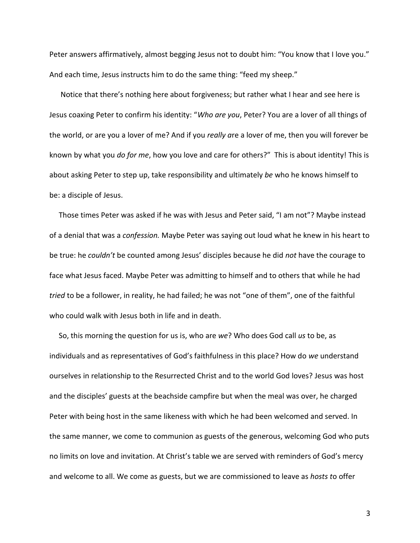Peter answers affirmatively, almost begging Jesus not to doubt him: "You know that I love you." And each time, Jesus instructs him to do the same thing: "feed my sheep."

 Notice that there's nothing here about forgiveness; but rather what I hear and see here is Jesus coaxing Peter to confirm his identity: "*Who are you*, Peter? You are a lover of all things of the world, or are you a lover of me? And if you *really a*re a lover of me, then you will forever be known by what you *do for me*, how you love and care for others?" This is about identity! This is about asking Peter to step up, take responsibility and ultimately *be* who he knows himself to be: a disciple of Jesus.

 Those times Peter was asked if he was with Jesus and Peter said, "I am not"? Maybe instead of a denial that was a *confession.* Maybe Peter was saying out loud what he knew in his heart to be true: he *couldn't* be counted among Jesus' disciples because he did *not* have the courage to face what Jesus faced. Maybe Peter was admitting to himself and to others that while he had *tried* to be a follower, in reality, he had failed; he was not "one of them", one of the faithful who could walk with Jesus both in life and in death.

 So, this morning the question for us is, who are *we*? Who does God call *us* to be, as individuals and as representatives of God's faithfulness in this place? How do *we* understand ourselves in relationship to the Resurrected Christ and to the world God loves? Jesus was host and the disciples' guests at the beachside campfire but when the meal was over, he charged Peter with being host in the same likeness with which he had been welcomed and served. In the same manner, we come to communion as guests of the generous, welcoming God who puts no limits on love and invitation. At Christ's table we are served with reminders of God's mercy and welcome to all. We come as guests, but we are commissioned to leave as *hosts t*o offer

3